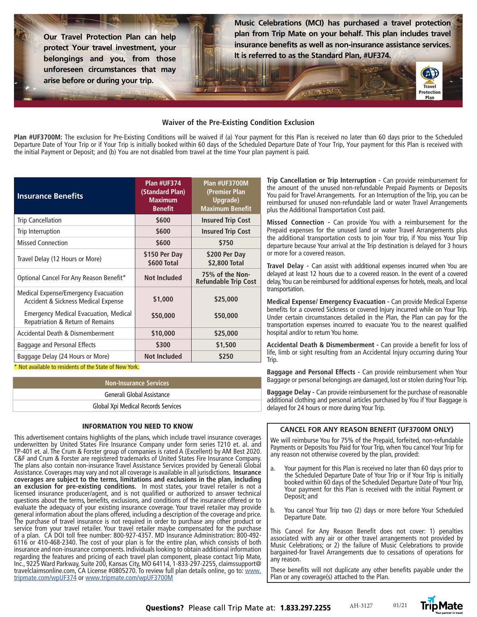**Our Travel Protection Plan can help protect Your travel investment, your belongings and you, from those unforeseen circumstances that may arise before or during your trip.** 

**Music Celebrations (MCI) has purchased a travel protection plan from Trip Mate on your behalf. This plan includes travel insurance benefits as well as non-insurance assistance services. It is referred to as the Standard Plan, #UF374.** 

### **Waiver of the Pre-Existing Condition Exclusion**

**Plan #UF3700M:** The exclusion for Pre-Existing Conditions will be waived if (a) Your payment for this Plan is received no later than 60 days prior to the Scheduled Departure Date of Your Trip or if Your Trip is initially booked within 60 days of the Scheduled Departure Date of Your Trip, Your payment for this Plan is received with the initial Payment or Deposit; and (b) You are not disabled from travel at the time Your plan payment is paid.

| <b>Insurance Benefits</b>                                                        | Plan #UF374<br>(Standard Plan)<br><b>Maximum</b><br><b>Benefit</b> | Plan #UF3700M<br>(Premier Plan<br>Upgrade)<br><b>Maximum Benefit</b> |
|----------------------------------------------------------------------------------|--------------------------------------------------------------------|----------------------------------------------------------------------|
| <b>Trip Cancellation</b>                                                         | \$600                                                              | <b>Insured Trip Cost</b>                                             |
| Trip Interruption                                                                | \$600                                                              | <b>Insured Trip Cost</b>                                             |
| <b>Missed Connection</b>                                                         | \$600                                                              | \$750                                                                |
| Travel Delay (12 Hours or More)                                                  | \$150 Per Day<br>\$600 Total                                       | \$200 Per Day<br>\$2,800 Total                                       |
| Optional Cancel For Any Reason Benefit*                                          | <b>Not Included</b>                                                | 75% of the Non-<br><b>Refundable Trip Cost</b>                       |
| Medical Expense/Emergency Evacuation<br>Accident & Sickness Medical Expense      | \$1,000                                                            | \$25,000                                                             |
| <b>Emergency Medical Evacuation, Medical</b><br>Repatriation & Return of Remains | \$50,000                                                           | \$50,000                                                             |
| Accidental Death & Dismemberment                                                 | \$10,000                                                           | \$25,000                                                             |
| Baggage and Personal Effects                                                     | \$300                                                              | \$1,500                                                              |
| Baggage Delay (24 Hours or More)                                                 | <b>Not Included</b>                                                | \$250                                                                |

\* Not available to residents of the State of New York.

| Non-Insurance Services              |  |
|-------------------------------------|--|
| Generali Global Assistance          |  |
| Global Xpi Medical Records Services |  |

#### INFORMATION YOU NEED TO KNOW

This advertisement contains highlights of the plans, which include travel insurance coverages underwritten by United States Fire Insurance Company under form series T210 et. al. and TP-401 et. al. The Crum & Forster group of companies is rated A (Excellent) by AM Best 2020. C&F and Crum & Forster are registered trademarks of United States Fire Insurance Company. The plans also contain non-insurance Travel Assistance Services provided by Generali Global Assistance. Coverages may vary and not all coverage is available in all jurisdictions. **Insurance coverages are subject to the terms, limitations and exclusions in the plan, including an exclusion for pre-existing conditions.** In most states, your travel retailer is not a licensed insurance producer/agent, and is not qualified or authorized to answer technical questions about the terms, benefits, exclusions, and conditions of the insurance offered or to evaluate the adequacy of your existing insurance coverage. Your travel retailer may provide general information about the plans offered, including a description of the coverage and price. The purchase of travel insurance is not required in order to purchase any other product or service from your travel retailer. Your travel retailer maybe compensated for the purchase of a plan. CA DOI toll free number: 800-927-4357. MD Insurance Administration: 800-492- 6116 or 410-468-2340. The cost of your plan is for the entire plan, which consists of both insurance and non-insurance components. Individuals looking to obtain additional information regarding the features and pricing of each travel plan component, please contact Trip Mate, Inc., 9225 Ward Parkway, Suite 200, Kansas City, MO 64114, 1-833-297-2255, claimssupport@ travelclaimsonline.com, CA License #0805270. To review full plan details online, go to: www. tripmate.com/wpUF374 or www.tripmate.com/wpUF3700M

**Trip Cancellation or Trip Interruption -** Can provide reimbursement for the amount of the unused non-refundable Prepaid Payments or Deposits You paid for Travel Arrangements. For an Interruption of the Trip, you can be reimbursed for unused non-refundable land or water Travel Arrangements plus the Additional Transportation Cost paid.

**Travel** rotectio Plan

**Missed Connection -** Can provide You with a reimbursement for the Prepaid expenses for the unused land or water Travel Arrangements plus the additional transportation costs to join Your trip, if You miss Your Trip departure because Your arrival at the Trip destination is delayed for 3 hours or more for a covered reason.

**Travel Delay -** Can assist with additional expenses incurred when You are delayed at least 12 hours due to a covered reason. In the event of a covered delay, You can be reimbursed for additional expenses for hotels, meals, and local transportation.

**Medical Expense/ Emergency Evacuation -** Can provide Medical Expense benefits for a covered Sickness or covered Injury incurred while on Your Trip. Under certain circumstances detailed in the Plan, the Plan can pay for the transportation expenses incurred to evacuate You to the nearest qualified hospital and/or to return You home.

**Accidental Death & Dismemberment -** Can provide a benefit for loss of life, limb or sight resulting from an Accidental Injury occurring during Your Trip.

**Baggage and Personal Effects -** Can provide reimbursement when Your Baggage or personal belongings are damaged, lost or stolen during Your Trip.

**Baggage Delay -** Can provide reimbursement for the purchase of reasonable additional clothing and personal articles purchased by You if Your Baggage is delayed for 24 hours or more during Your Trip.

#### **CANCEL FOR ANY REASON BENEFIT (UF3700M ONLY)**

We will reimburse You for 75% of the Prepaid, forfeited, non-refundable Payments or Deposits You Paid for Your Trip, when You cancel Your Trip for any reason not otherwise covered by the plan, provided:

- a. Your payment for this Plan is received no later than 60 days prior to the Scheduled Departure Date of Your Trip or if Your Trip is initially booked within 60 days of the Scheduled Departure Date of Your Trip, Your payment for this Plan is received with the initial Payment or Deposit; and
- b. You cancel Your Trip two (2) days or more before Your Scheduled Departure Date.

This Cancel For Any Reason Benefit does not cover: 1) penalties associated with any air or other travel arrangements not provided by Music Celebrations; or 2) the failure of Music Celebrations to provide bargained-for Travel Arrangements due to cessations of operations for any reason.

These benefits will not duplicate any other benefits payable under the Plan or any coverage(s) attached to the Plan.

01/21

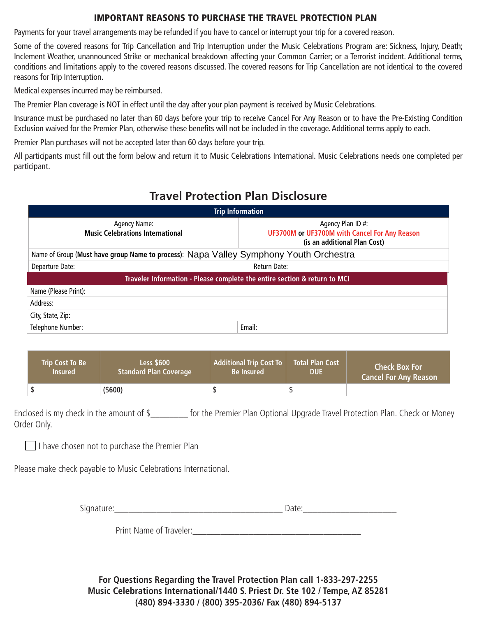## IMPORTANT REASONS TO PURCHASE THE TRAVEL PROTECTION PLAN

Payments for your travel arrangements may be refunded if you have to cancel or interrupt your trip for a covered reason.

Some of the covered reasons for Trip Cancellation and Trip Interruption under the Music Celebrations Program are: Sickness, Injury, Death; Inclement Weather, unannounced Strike or mechanical breakdown affecting your Common Carrier; or a Terrorist incident. Additional terms, conditions and limitations apply to the covered reasons discussed. The covered reasons for Trip Cancellation are not identical to the covered reasons for Trip Interruption.

Medical expenses incurred may be reimbursed.

The Premier Plan coverage is NOT in effect until the day after your plan payment is received by Music Celebrations.

Insurance must be purchased no later than 60 days before your trip to receive Cancel For Any Reason or to have the Pre-Existing Condition Exclusion waived for the Premier Plan, otherwise these benefits will not be included in the coverage. Additional terms apply to each.

Premier Plan purchases will not be accepted later than 60 days before your trip.

All participants must fill out the form below and return it to Music Celebrations International. Music Celebrations needs one completed per participant.

# **Travel Protection Plan Disclosure**

| <b>Trip Information</b>                                                               |                                                                                                    |  |  |  |
|---------------------------------------------------------------------------------------|----------------------------------------------------------------------------------------------------|--|--|--|
| Agency Name:<br><b>Music Celebrations International</b>                               | Agency Plan ID #:<br>UF3700M or UF3700M with Cancel For Any Reason<br>(is an additional Plan Cost) |  |  |  |
| Name of Group (Must have group Name to process): Napa Valley Symphony Youth Orchestra |                                                                                                    |  |  |  |
| Departure Date:                                                                       | Return Date:                                                                                       |  |  |  |
| Traveler Information - Please complete the entire section & return to MCI             |                                                                                                    |  |  |  |
| Name (Please Print):                                                                  |                                                                                                    |  |  |  |
| Address:                                                                              |                                                                                                    |  |  |  |
| City, State, Zip:                                                                     |                                                                                                    |  |  |  |
| Telephone Number:                                                                     | Email:                                                                                             |  |  |  |

| <b>Trip Cost To Be</b> | <b>Less \$600</b>             | <b>Additional Trip Cost To</b> | <b>Total Plan Cost</b> | <b>Check Box For</b>         |
|------------------------|-------------------------------|--------------------------------|------------------------|------------------------------|
| <b>Insured</b>         | <b>Standard Plan Coverage</b> | <b>Be Insured</b>              | <b>DUE</b>             | <b>Cancel For Any Reason</b> |
|                        | $($ \$600)                    |                                |                        |                              |

Enclosed is my check in the amount of \$\_\_\_\_\_\_\_\_ for the Premier Plan Optional Upgrade Travel Protection Plan. Check or Money Order Only.

I have chosen not to purchase the Premier Plan

Please make check payable to Music Celebrations International.

Signature:\_\_\_\_\_\_\_\_\_\_\_\_\_\_\_\_\_\_\_\_\_\_\_\_\_\_\_\_\_\_\_\_\_\_\_\_ Date:\_\_\_\_\_\_\_\_\_\_\_\_\_\_\_\_\_\_\_\_

Print Name of Traveler:

**For Questions Regarding the Travel Protection Plan call 1-833-297-2255 Music Celebrations International/1440 S. Priest Dr. Ste 102 / Tempe, AZ 85281 (480) 894-3330 / (800) 395-2036/ Fax (480) 894-5137**